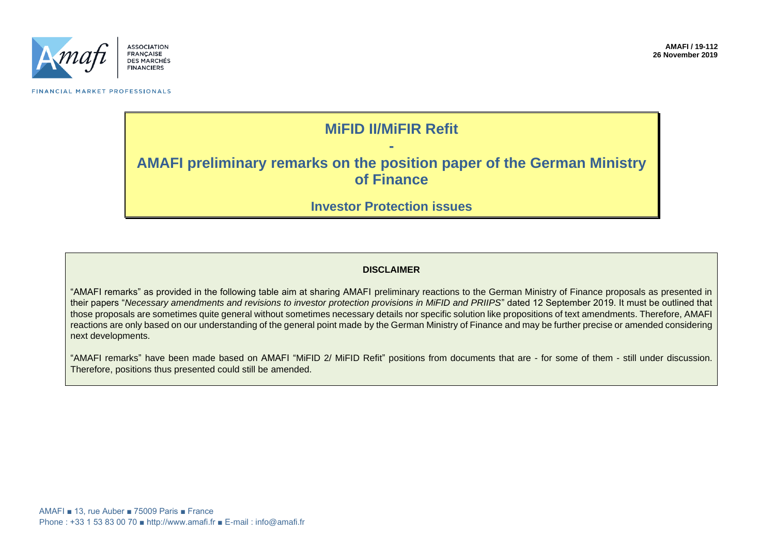

FINANCIAL MARKET PROFESSIONALS

### **MiFID II/MiFIR Refit**

## **- AMAFI preliminary remarks on the position paper of the German Ministry of Finance**

### **Investor Protection issues**

#### **DISCLAIMER**

"AMAFI remarks" as provided in the following table aim at sharing AMAFI preliminary reactions to the German Ministry of Finance proposals as presented in their papers "*Necessary amendments and revisions to investor protection provisions in MiFID and PRIIPS*" dated 12 September 2019. It must be outlined that those proposals are sometimes quite general without sometimes necessary details nor specific solution like propositions of text amendments. Therefore, AMAFI reactions are only based on our understanding of the general point made by the German Ministry of Finance and may be further precise or amended considering next developments.

"AMAFI remarks" have been made based on AMAFI "MiFID 2/ MiFID Refit" positions from documents that are - for some of them - still under discussion. Therefore, positions thus presented could still be amended.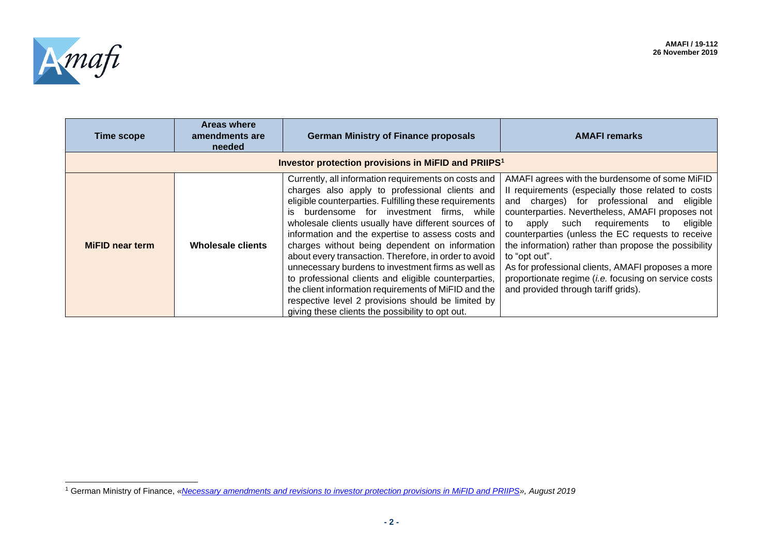

| <b>Time scope</b>                                               | <b>Areas where</b><br>amendments are<br>needed | <b>German Ministry of Finance proposals</b>                                                                                                                                                                                                                                                                                                                                                                                                                                                                                                                                                                                                                                                                              | <b>AMAFI remarks</b>                                                                                                                                                                                                                                                                                                                                                                                                                                                                                                                           |
|-----------------------------------------------------------------|------------------------------------------------|--------------------------------------------------------------------------------------------------------------------------------------------------------------------------------------------------------------------------------------------------------------------------------------------------------------------------------------------------------------------------------------------------------------------------------------------------------------------------------------------------------------------------------------------------------------------------------------------------------------------------------------------------------------------------------------------------------------------------|------------------------------------------------------------------------------------------------------------------------------------------------------------------------------------------------------------------------------------------------------------------------------------------------------------------------------------------------------------------------------------------------------------------------------------------------------------------------------------------------------------------------------------------------|
| Investor protection provisions in MiFID and PRIIPS <sup>1</sup> |                                                |                                                                                                                                                                                                                                                                                                                                                                                                                                                                                                                                                                                                                                                                                                                          |                                                                                                                                                                                                                                                                                                                                                                                                                                                                                                                                                |
| <b>MiFID near term</b>                                          | Wholesale clients                              | Currently, all information requirements on costs and<br>charges also apply to professional clients and<br>eligible counterparties. Fulfilling these requirements<br>burdensome for investment firms, while<br>is.<br>wholesale clients usually have different sources of<br>information and the expertise to assess costs and<br>charges without being dependent on information<br>about every transaction. Therefore, in order to avoid<br>unnecessary burdens to investment firms as well as<br>to professional clients and eligible counterparties,<br>the client information requirements of MiFID and the<br>respective level 2 provisions should be limited by<br>giving these clients the possibility to opt out. | AMAFI agrees with the burdensome of some MiFID<br>Il requirements (especially those related to costs<br>and charges) for professional and eligible<br>counterparties. Nevertheless, AMAFI proposes not<br>apply such requirements to eligible<br>to<br>counterparties (unless the EC requests to receive<br>the information) rather than propose the possibility<br>to "opt out".<br>As for professional clients, AMAFI proposes a more<br>proportionate regime ( <i>i.e.</i> focusing on service costs<br>and provided through tariff grids). |

<sup>1</sup> German Ministry of Finance, *[«Necessary amendments and revisions to investor protection provisions in MiFID and PRIIPS»](https://www.bundesfinanzministerium.de/Content/DE/Gesetzestexte/Gesetze_Gesetzesvorhaben/Abteilungen/Abteilung_VII/19_Legislaturperiode/Position-paper-MiFID-and-PRIIPS.pdf?__blob=publicationFile&v=9), August 2019*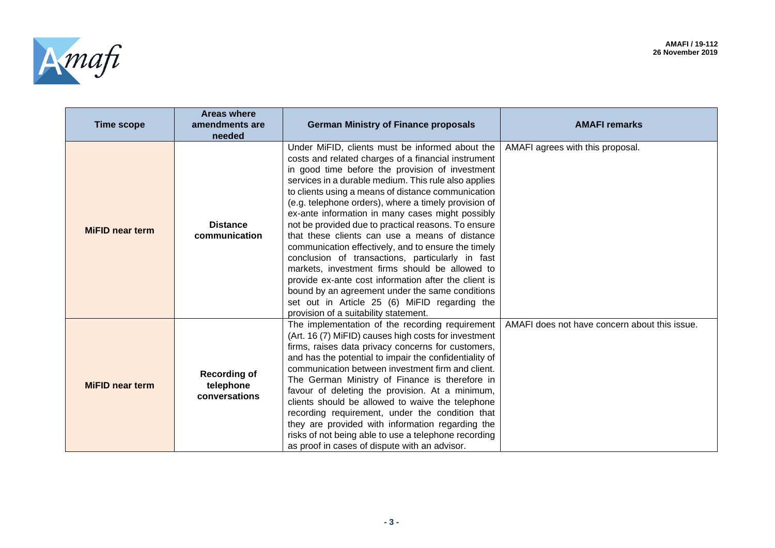

| <b>Time scope</b>      | <b>Areas where</b><br>amendments are<br>needed    | <b>German Ministry of Finance proposals</b>                                                                                                                                                                                                                                                                                                                                                                                                                                                                                                                                                                                                                                                                                                                                                                                                                    | <b>AMAFI remarks</b>                          |
|------------------------|---------------------------------------------------|----------------------------------------------------------------------------------------------------------------------------------------------------------------------------------------------------------------------------------------------------------------------------------------------------------------------------------------------------------------------------------------------------------------------------------------------------------------------------------------------------------------------------------------------------------------------------------------------------------------------------------------------------------------------------------------------------------------------------------------------------------------------------------------------------------------------------------------------------------------|-----------------------------------------------|
| <b>MiFID near term</b> | <b>Distance</b><br>communication                  | Under MiFID, clients must be informed about the<br>costs and related charges of a financial instrument<br>in good time before the provision of investment<br>services in a durable medium. This rule also applies<br>to clients using a means of distance communication<br>(e.g. telephone orders), where a timely provision of<br>ex-ante information in many cases might possibly<br>not be provided due to practical reasons. To ensure<br>that these clients can use a means of distance<br>communication effectively, and to ensure the timely<br>conclusion of transactions, particularly in fast<br>markets, investment firms should be allowed to<br>provide ex-ante cost information after the client is<br>bound by an agreement under the same conditions<br>set out in Article 25 (6) MiFID regarding the<br>provision of a suitability statement. | AMAFI agrees with this proposal.              |
| <b>MiFID near term</b> | <b>Recording of</b><br>telephone<br>conversations | The implementation of the recording requirement<br>(Art. 16 (7) MiFID) causes high costs for investment<br>firms, raises data privacy concerns for customers,<br>and has the potential to impair the confidentiality of<br>communication between investment firm and client.<br>The German Ministry of Finance is therefore in<br>favour of deleting the provision. At a minimum,<br>clients should be allowed to waive the telephone<br>recording requirement, under the condition that<br>they are provided with information regarding the<br>risks of not being able to use a telephone recording<br>as proof in cases of dispute with an advisor.                                                                                                                                                                                                          | AMAFI does not have concern about this issue. |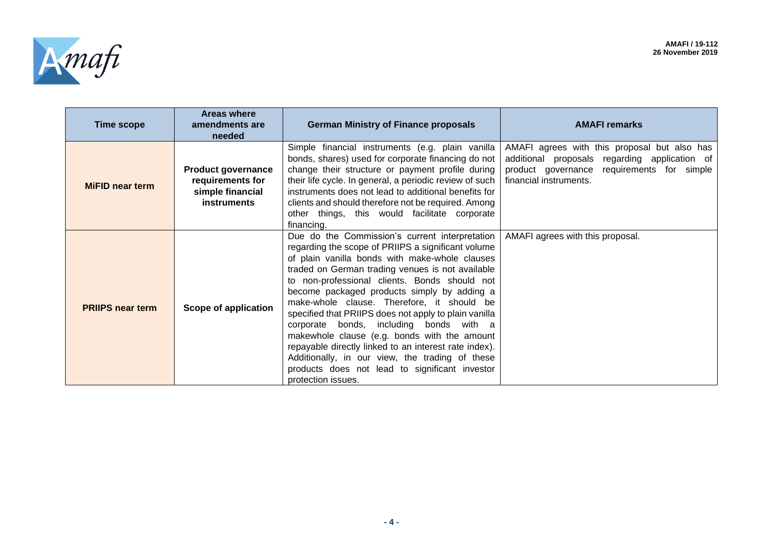L,



 $\overline{a}$ 

| <b>Time scope</b>       | <b>Areas where</b><br>amendments are<br>needed                                   | <b>German Ministry of Finance proposals</b>                                                                                                                                                                                                                                                                                                                                                                                                                                                                                                                                                                                                                                                      | <b>AMAFI</b> remarks                                                                                                                                                     |
|-------------------------|----------------------------------------------------------------------------------|--------------------------------------------------------------------------------------------------------------------------------------------------------------------------------------------------------------------------------------------------------------------------------------------------------------------------------------------------------------------------------------------------------------------------------------------------------------------------------------------------------------------------------------------------------------------------------------------------------------------------------------------------------------------------------------------------|--------------------------------------------------------------------------------------------------------------------------------------------------------------------------|
| <b>MiFID near term</b>  | <b>Product governance</b><br>requirements for<br>simple financial<br>instruments | Simple financial instruments (e.g. plain vanilla<br>bonds, shares) used for corporate financing do not<br>change their structure or payment profile during<br>their life cycle. In general, a periodic review of such<br>instruments does not lead to additional benefits for<br>clients and should therefore not be required. Among<br>other things, this would facilitate corporate<br>financing.                                                                                                                                                                                                                                                                                              | AMAFI agrees with this proposal but also has<br>additional proposals regarding application of<br>product governance<br>requirements for simple<br>financial instruments. |
| <b>PRIIPS near term</b> | Scope of application                                                             | Due do the Commission's current interpretation<br>regarding the scope of PRIIPS a significant volume<br>of plain vanilla bonds with make-whole clauses<br>traded on German trading venues is not available<br>to non-professional clients. Bonds should not<br>become packaged products simply by adding a<br>make-whole clause. Therefore, it should be<br>specified that PRIIPS does not apply to plain vanilla<br>corporate bonds, including bonds with a<br>makewhole clause (e.g. bonds with the amount<br>repayable directly linked to an interest rate index).<br>Additionally, in our view, the trading of these<br>products does not lead to significant investor<br>protection issues. | AMAFI agrees with this proposal.                                                                                                                                         |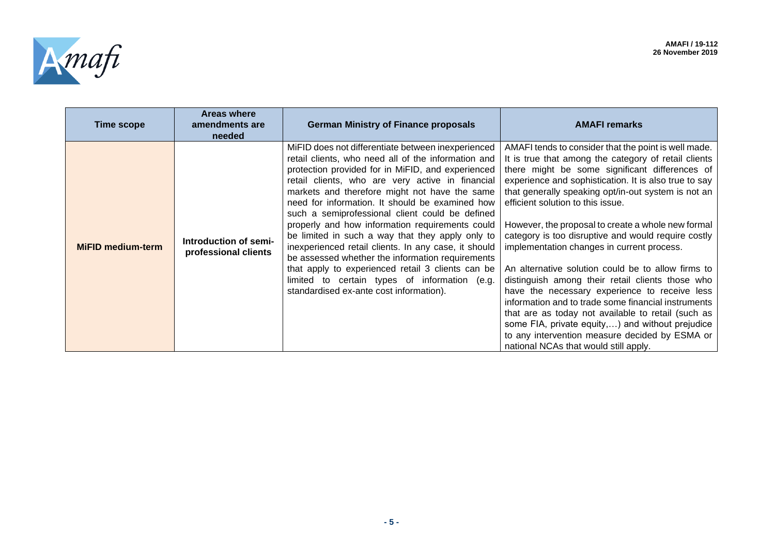

| <b>Time scope</b>        | <b>Areas where</b><br>amendments are<br>needed | <b>German Ministry of Finance proposals</b>                                                                                                                                                                                                                                                                                                                                                                                                                                                                                                                                                                                                                                                                                                   | <b>AMAFI remarks</b>                                                                                                                                                                                                                                                                                                                                                                                                                                                                                                                                                                                                                                                                                                                                                                                                                                                                                  |
|--------------------------|------------------------------------------------|-----------------------------------------------------------------------------------------------------------------------------------------------------------------------------------------------------------------------------------------------------------------------------------------------------------------------------------------------------------------------------------------------------------------------------------------------------------------------------------------------------------------------------------------------------------------------------------------------------------------------------------------------------------------------------------------------------------------------------------------------|-------------------------------------------------------------------------------------------------------------------------------------------------------------------------------------------------------------------------------------------------------------------------------------------------------------------------------------------------------------------------------------------------------------------------------------------------------------------------------------------------------------------------------------------------------------------------------------------------------------------------------------------------------------------------------------------------------------------------------------------------------------------------------------------------------------------------------------------------------------------------------------------------------|
| <b>MiFID medium-term</b> | Introduction of semi-<br>professional clients  | MiFID does not differentiate between inexperienced<br>retail clients, who need all of the information and<br>protection provided for in MiFID, and experienced<br>retail clients, who are very active in financial<br>markets and therefore might not have the same<br>need for information. It should be examined how<br>such a semiprofessional client could be defined<br>properly and how information requirements could<br>be limited in such a way that they apply only to<br>inexperienced retail clients. In any case, it should<br>be assessed whether the information requirements<br>that apply to experienced retail 3 clients can be<br>limited to certain types of information (e.g.<br>standardised ex-ante cost information). | AMAFI tends to consider that the point is well made.<br>It is true that among the category of retail clients<br>there might be some significant differences of<br>experience and sophistication. It is also true to say<br>that generally speaking opt/in-out system is not an<br>efficient solution to this issue.<br>However, the proposal to create a whole new formal<br>category is too disruptive and would require costly<br>implementation changes in current process.<br>An alternative solution could be to allow firms to<br>distinguish among their retail clients those who<br>have the necessary experience to receive less<br>information and to trade some financial instruments<br>that are as today not available to retail (such as<br>some FIA, private equity,) and without prejudice<br>to any intervention measure decided by ESMA or<br>national NCAs that would still apply. |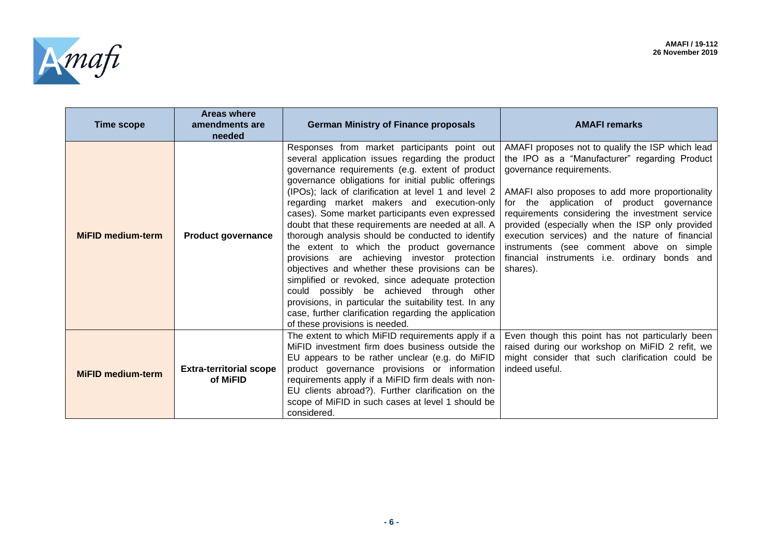

 $\sim$ 

| Time scope               | <b>Areas where</b><br>amendments are<br>needed | <b>German Ministry of Finance proposals</b>                                                                                                                                                                                                                                                                                                                                                                                                                                                                                                                                                                                                                                                                                                                                                                                                                                         | <b>AMAFI</b> remarks                                                                                                                                                                                                                                                                                                                                                                                                                                                                            |
|--------------------------|------------------------------------------------|-------------------------------------------------------------------------------------------------------------------------------------------------------------------------------------------------------------------------------------------------------------------------------------------------------------------------------------------------------------------------------------------------------------------------------------------------------------------------------------------------------------------------------------------------------------------------------------------------------------------------------------------------------------------------------------------------------------------------------------------------------------------------------------------------------------------------------------------------------------------------------------|-------------------------------------------------------------------------------------------------------------------------------------------------------------------------------------------------------------------------------------------------------------------------------------------------------------------------------------------------------------------------------------------------------------------------------------------------------------------------------------------------|
| <b>MiFID medium-term</b> | <b>Product governance</b>                      | Responses from market participants point out<br>several application issues regarding the product<br>governance requirements (e.g. extent of product<br>governance obligations for initial public offerings<br>(IPOs); lack of clarification at level 1 and level 2<br>regarding market makers and execution-only<br>cases). Some market participants even expressed<br>doubt that these requirements are needed at all. A<br>thorough analysis should be conducted to identify<br>the extent to which the product governance<br>provisions are achieving investor protection<br>objectives and whether these provisions can be<br>simplified or revoked, since adequate protection<br>could possibly be achieved through other<br>provisions, in particular the suitability test. In any<br>case, further clarification regarding the application<br>of these provisions is needed. | AMAFI proposes not to qualify the ISP which lead<br>the IPO as a "Manufacturer" regarding Product<br>governance requirements.<br>AMAFI also proposes to add more proportionality<br>for the application of product governance<br>requirements considering the investment service<br>provided (especially when the ISP only provided<br>execution services) and the nature of financial<br>instruments (see comment above on simple<br>financial instruments i.e. ordinary bonds and<br>shares). |
| <b>MiFID medium-term</b> | <b>Extra-territorial scope</b><br>of MiFID     | The extent to which MiFID requirements apply if a<br>MiFID investment firm does business outside the<br>EU appears to be rather unclear (e.g. do MiFID<br>product governance provisions or information<br>requirements apply if a MiFID firm deals with non-<br>EU clients abroad?). Further clarification on the<br>scope of MiFID in such cases at level 1 should be<br>considered.                                                                                                                                                                                                                                                                                                                                                                                                                                                                                               | Even though this point has not particularly been<br>raised during our workshop on MiFID 2 refit, we<br>might consider that such clarification could be<br>indeed useful.                                                                                                                                                                                                                                                                                                                        |